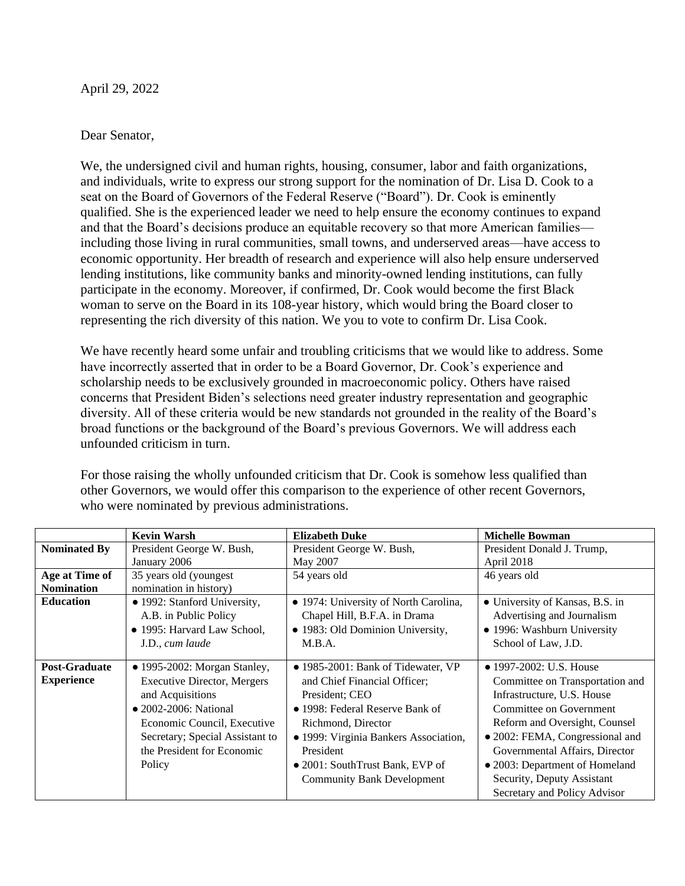April 29, 2022

#### Dear Senator,

We, the undersigned civil and human rights, housing, consumer, labor and faith organizations, and individuals, write to express our strong support for the nomination of Dr. Lisa D. Cook to a seat on the Board of Governors of the Federal Reserve ("Board"). Dr. Cook is eminently qualified. She is the experienced leader we need to help ensure the economy continues to expand and that the Board's decisions produce an equitable recovery so that more American families including those living in rural communities, small towns, and underserved areas—have access to economic opportunity. Her breadth of research and experience will also help ensure underserved lending institutions, like community banks and minority-owned lending institutions, can fully participate in the economy. Moreover, if confirmed, Dr. Cook would become the first Black woman to serve on the Board in its 108-year history, which would bring the Board closer to representing the rich diversity of this nation. We you to vote to confirm Dr. Lisa Cook.

We have recently heard some unfair and troubling criticisms that we would like to address. Some have incorrectly asserted that in order to be a Board Governor, Dr. Cook's experience and scholarship needs to be exclusively grounded in macroeconomic policy. Others have raised concerns that President Biden's selections need greater industry representation and geographic diversity. All of these criteria would be new standards not grounded in the reality of the Board's broad functions or the background of the Board's previous Governors. We will address each unfounded criticism in turn.

For those raising the wholly unfounded criticism that Dr. Cook is somehow less qualified than other Governors, we would offer this comparison to the experience of other recent Governors, who were nominated by previous administrations.

|                                           | <b>Kevin Warsh</b>                                                                                                                                                                                                                        | <b>Elizabeth Duke</b>                                                                                                                                                                                                                                                                | <b>Michelle Bowman</b>                                                                                                                                                                                                                                                                                                    |
|-------------------------------------------|-------------------------------------------------------------------------------------------------------------------------------------------------------------------------------------------------------------------------------------------|--------------------------------------------------------------------------------------------------------------------------------------------------------------------------------------------------------------------------------------------------------------------------------------|---------------------------------------------------------------------------------------------------------------------------------------------------------------------------------------------------------------------------------------------------------------------------------------------------------------------------|
| <b>Nominated By</b>                       | President George W. Bush,<br>January 2006                                                                                                                                                                                                 | President George W. Bush,<br>May 2007                                                                                                                                                                                                                                                | President Donald J. Trump,<br>April 2018                                                                                                                                                                                                                                                                                  |
| Age at Time of<br><b>Nomination</b>       | 35 years old (youngest)<br>nomination in history)                                                                                                                                                                                         | 54 years old                                                                                                                                                                                                                                                                         | 46 years old                                                                                                                                                                                                                                                                                                              |
| <b>Education</b>                          | • 1992: Stanford University,<br>A.B. in Public Policy<br>• 1995: Harvard Law School,<br>J.D., cum laude                                                                                                                                   | • 1974: University of North Carolina,<br>Chapel Hill, B.F.A. in Drama<br>• 1983: Old Dominion University,<br>M.B.A.                                                                                                                                                                  | • University of Kansas, B.S. in<br>Advertising and Journalism<br>• 1996: Washburn University<br>School of Law, J.D.                                                                                                                                                                                                       |
| <b>Post-Graduate</b><br><b>Experience</b> | $\bullet$ 1995-2002: Morgan Stanley,<br><b>Executive Director, Mergers</b><br>and Acquisitions<br>$\bullet$ 2002-2006: National<br>Economic Council, Executive<br>Secretary; Special Assistant to<br>the President for Economic<br>Policy | $\bullet$ 1985-2001: Bank of Tidewater, VP<br>and Chief Financial Officer;<br>President; CEO<br>• 1998: Federal Reserve Bank of<br>Richmond, Director<br>• 1999: Virginia Bankers Association,<br>President<br>• 2001: South Trust Bank, EVP of<br><b>Community Bank Development</b> | • 1997-2002: U.S. House<br>Committee on Transportation and<br>Infrastructure, U.S. House<br>Committee on Government<br>Reform and Oversight, Counsel<br>• 2002: FEMA, Congressional and<br>Governmental Affairs, Director<br>• 2003: Department of Homeland<br>Security, Deputy Assistant<br>Secretary and Policy Advisor |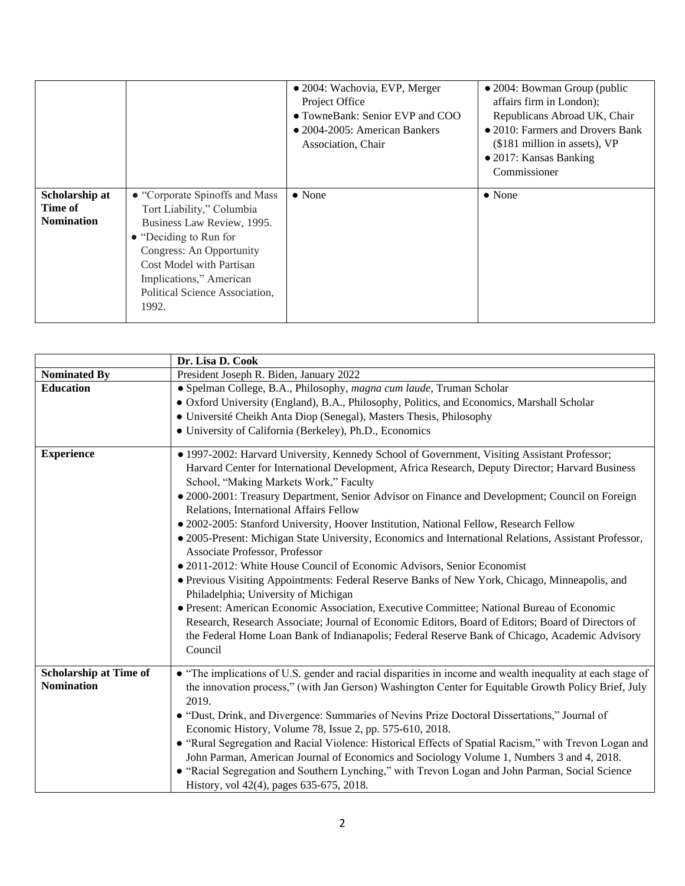|                                                |                                                                                                                                                                                                                                                   | • 2004: Wachovia, EVP, Merger<br>Project Office<br>• TowneBank: Senior EVP and COO<br>$\bullet$ 2004-2005: American Bankers<br>Association, Chair | • 2004: Bowman Group (public<br>affairs firm in London);<br>Republicans Abroad UK, Chair<br>• 2010: Farmers and Drovers Bank<br>(\$181 million in assets), VP<br>• 2017: Kansas Banking<br>Commissioner |
|------------------------------------------------|---------------------------------------------------------------------------------------------------------------------------------------------------------------------------------------------------------------------------------------------------|---------------------------------------------------------------------------------------------------------------------------------------------------|---------------------------------------------------------------------------------------------------------------------------------------------------------------------------------------------------------|
| Scholarship at<br>Time of<br><b>Nomination</b> | • "Corporate Spinoffs and Mass<br>Tort Liability," Columbia<br>Business Law Review, 1995.<br>• "Deciding to Run for<br>Congress: An Opportunity<br>Cost Model with Partisan<br>Implications," American<br>Political Science Association,<br>1992. | $\bullet$ None                                                                                                                                    | $\bullet$ None                                                                                                                                                                                          |

|                                                    | Dr. Lisa D. Cook                                                                                                                                                                                                                                                                                                                                                                                                                                                                                                                                                                                                                                                                                                                                                                                                                                                                                                                                                                                                                                                                                                                                                     |
|----------------------------------------------------|----------------------------------------------------------------------------------------------------------------------------------------------------------------------------------------------------------------------------------------------------------------------------------------------------------------------------------------------------------------------------------------------------------------------------------------------------------------------------------------------------------------------------------------------------------------------------------------------------------------------------------------------------------------------------------------------------------------------------------------------------------------------------------------------------------------------------------------------------------------------------------------------------------------------------------------------------------------------------------------------------------------------------------------------------------------------------------------------------------------------------------------------------------------------|
| <b>Nominated By</b>                                | President Joseph R. Biden, January 2022                                                                                                                                                                                                                                                                                                                                                                                                                                                                                                                                                                                                                                                                                                                                                                                                                                                                                                                                                                                                                                                                                                                              |
| <b>Education</b>                                   | · Spelman College, B.A., Philosophy, magna cum laude, Truman Scholar<br>• Oxford University (England), B.A., Philosophy, Politics, and Economics, Marshall Scholar<br>• Université Cheikh Anta Diop (Senegal), Masters Thesis, Philosophy<br>· University of California (Berkeley), Ph.D., Economics                                                                                                                                                                                                                                                                                                                                                                                                                                                                                                                                                                                                                                                                                                                                                                                                                                                                 |
| <b>Experience</b>                                  | • 1997-2002: Harvard University, Kennedy School of Government, Visiting Assistant Professor;<br>Harvard Center for International Development, Africa Research, Deputy Director; Harvard Business<br>School, "Making Markets Work," Faculty<br>• 2000-2001: Treasury Department, Senior Advisor on Finance and Development; Council on Foreign<br>Relations, International Affairs Fellow<br>· 2002-2005: Stanford University, Hoover Institution, National Fellow, Research Fellow<br>• 2005-Present: Michigan State University, Economics and International Relations, Assistant Professor,<br>Associate Professor, Professor<br>• 2011-2012: White House Council of Economic Advisors, Senior Economist<br>• Previous Visiting Appointments: Federal Reserve Banks of New York, Chicago, Minneapolis, and<br>Philadelphia; University of Michigan<br>• Present: American Economic Association, Executive Committee; National Bureau of Economic<br>Research, Research Associate; Journal of Economic Editors, Board of Editors; Board of Directors of<br>the Federal Home Loan Bank of Indianapolis; Federal Reserve Bank of Chicago, Academic Advisory<br>Council |
| <b>Scholarship at Time of</b><br><b>Nomination</b> | • "The implications of U.S. gender and racial disparities in income and wealth inequality at each stage of<br>the innovation process," (with Jan Gerson) Washington Center for Equitable Growth Policy Brief, July<br>2019.<br>• "Dust, Drink, and Divergence: Summaries of Nevins Prize Doctoral Dissertations," Journal of<br>Economic History, Volume 78, Issue 2, pp. 575-610, 2018.<br>• "Rural Segregation and Racial Violence: Historical Effects of Spatial Racism," with Trevon Logan and<br>John Parman, American Journal of Economics and Sociology Volume 1, Numbers 3 and 4, 2018.<br>· "Racial Segregation and Southern Lynching," with Trevon Logan and John Parman, Social Science<br>History, vol 42(4), pages 635-675, 2018.                                                                                                                                                                                                                                                                                                                                                                                                                       |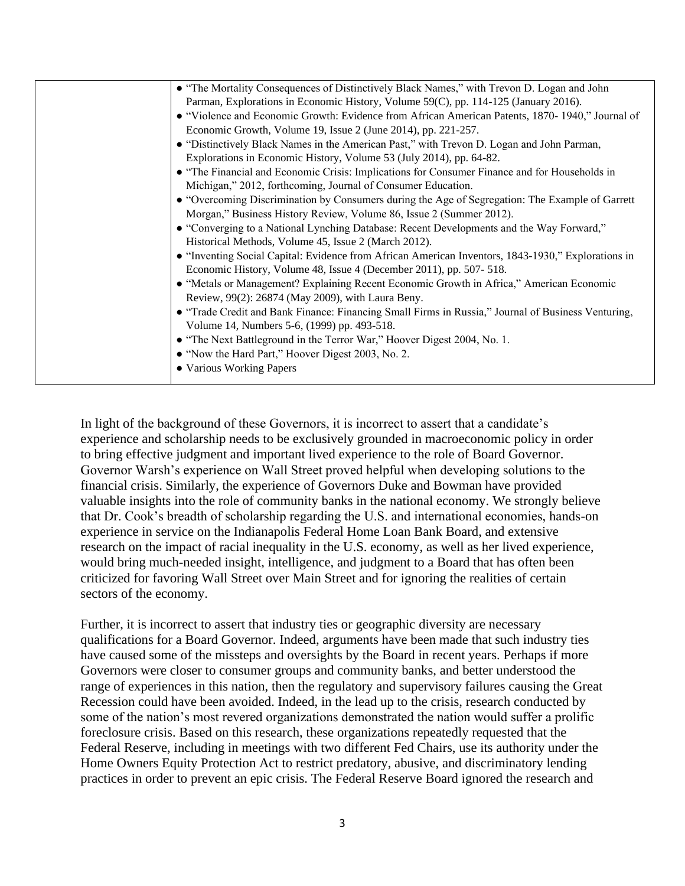| • "The Mortality Consequences of Distinctively Black Names," with Trevon D. Logan and John         |
|----------------------------------------------------------------------------------------------------|
| Parman, Explorations in Economic History, Volume 59(C), pp. 114-125 (January 2016).                |
| • "Violence and Economic Growth: Evidence from African American Patents, 1870-1940," Journal of    |
| Economic Growth, Volume 19, Issue 2 (June 2014), pp. 221-257.                                      |
| • "Distinctively Black Names in the American Past," with Trevon D. Logan and John Parman,          |
| Explorations in Economic History, Volume 53 (July 2014), pp. 64-82.                                |
| • "The Financial and Economic Crisis: Implications for Consumer Finance and for Households in      |
| Michigan," 2012, forthcoming, Journal of Consumer Education.                                       |
| • "Overcoming Discrimination by Consumers during the Age of Segregation: The Example of Garrett    |
| Morgan," Business History Review, Volume 86, Issue 2 (Summer 2012).                                |
| • "Converging to a National Lynching Database: Recent Developments and the Way Forward,"           |
| Historical Methods, Volume 45, Issue 2 (March 2012).                                               |
| • "Inventing Social Capital: Evidence from African American Inventors, 1843-1930," Explorations in |
| Economic History, Volume 48, Issue 4 (December 2011), pp. 507-518.                                 |
| • "Metals or Management? Explaining Recent Economic Growth in Africa," American Economic           |
| Review, 99(2): 26874 (May 2009), with Laura Beny.                                                  |
| • "Trade Credit and Bank Finance: Financing Small Firms in Russia," Journal of Business Venturing, |
| Volume 14, Numbers 5-6, (1999) pp. 493-518.                                                        |
| • "The Next Battleground in the Terror War," Hoover Digest 2004, No. 1.                            |
| • "Now the Hard Part," Hoover Digest 2003, No. 2.                                                  |
| • Various Working Papers                                                                           |
|                                                                                                    |

In light of the background of these Governors, it is incorrect to assert that a candidate's experience and scholarship needs to be exclusively grounded in macroeconomic policy in order to bring effective judgment and important lived experience to the role of Board Governor. Governor Warsh's experience on Wall Street proved helpful when developing solutions to the financial crisis. Similarly, the experience of Governors Duke and Bowman have provided valuable insights into the role of community banks in the national economy. We strongly believe that Dr. Cook's breadth of scholarship regarding the U.S. and international economies, hands-on experience in service on the Indianapolis Federal Home Loan Bank Board, and extensive research on the impact of racial inequality in the U.S. economy, as well as her lived experience, would bring much-needed insight, intelligence, and judgment to a Board that has often been criticized for favoring Wall Street over Main Street and for ignoring the realities of certain sectors of the economy.

Further, it is incorrect to assert that industry ties or geographic diversity are necessary qualifications for a Board Governor. Indeed, arguments have been made that such industry ties have caused some of the missteps and oversights by the Board in recent years. Perhaps if more Governors were closer to consumer groups and community banks, and better understood the range of experiences in this nation, then the regulatory and supervisory failures causing the Great Recession could have been avoided. Indeed, in the lead up to the crisis, research conducted by some of the nation's most revered organizations demonstrated the nation would suffer a prolific foreclosure crisis. Based on this research, these organizations repeatedly requested that the Federal Reserve, including in meetings with two different Fed Chairs, use its authority under the Home Owners Equity Protection Act to restrict predatory, abusive, and discriminatory lending practices in order to prevent an epic crisis. The Federal Reserve Board ignored the research and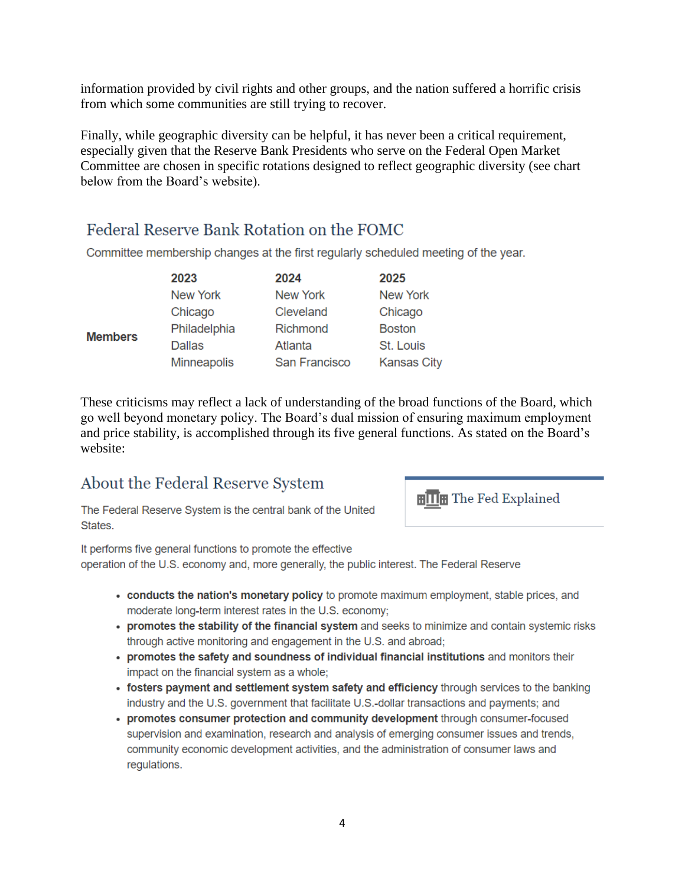information provided by civil rights and other groups, and the nation suffered a horrific crisis from which some communities are still trying to recover.

Finally, while geographic diversity can be helpful, it has never been a critical requirement, especially given that the Reserve Bank Presidents who serve on the Federal Open Market Committee are chosen in specific rotations designed to reflect geographic diversity (see chart below from the Board's website).

## Federal Reserve Bank Rotation on the FOMC

Committee membership changes at the first regularly scheduled meeting of the year.

|                | 2023          | 2024            | 2025               |
|----------------|---------------|-----------------|--------------------|
|                | New York      | <b>New York</b> | <b>New York</b>    |
|                | Chicago       | Cleveland       | Chicago            |
| <b>Members</b> | Philadelphia  | Richmond        | <b>Boston</b>      |
|                | <b>Dallas</b> | Atlanta         | St. Louis          |
|                | Minneapolis   | San Francisco   | <b>Kansas City</b> |

These criticisms may reflect a lack of understanding of the broad functions of the Board, which go well beyond monetary policy. The Board's dual mission of ensuring maximum employment and price stability, is accomplished through its five general functions. As stated on the Board's website:

## About the Federal Reserve System

The Federal Reserve System is the central bank of the United States.

**HITH** The Fed Explained

It performs five general functions to promote the effective operation of the U.S. economy and, more generally, the public interest. The Federal Reserve

- conducts the nation's monetary policy to promote maximum employment, stable prices, and moderate long-term interest rates in the U.S. economy;
- promotes the stability of the financial system and seeks to minimize and contain systemic risks through active monitoring and engagement in the U.S. and abroad;
- promotes the safety and soundness of individual financial institutions and monitors their impact on the financial system as a whole:
- fosters payment and settlement system safety and efficiency through services to the banking industry and the U.S. government that facilitate U.S.-dollar transactions and payments; and
- promotes consumer protection and community development through consumer-focused supervision and examination, research and analysis of emerging consumer issues and trends, community economic development activities, and the administration of consumer laws and regulations.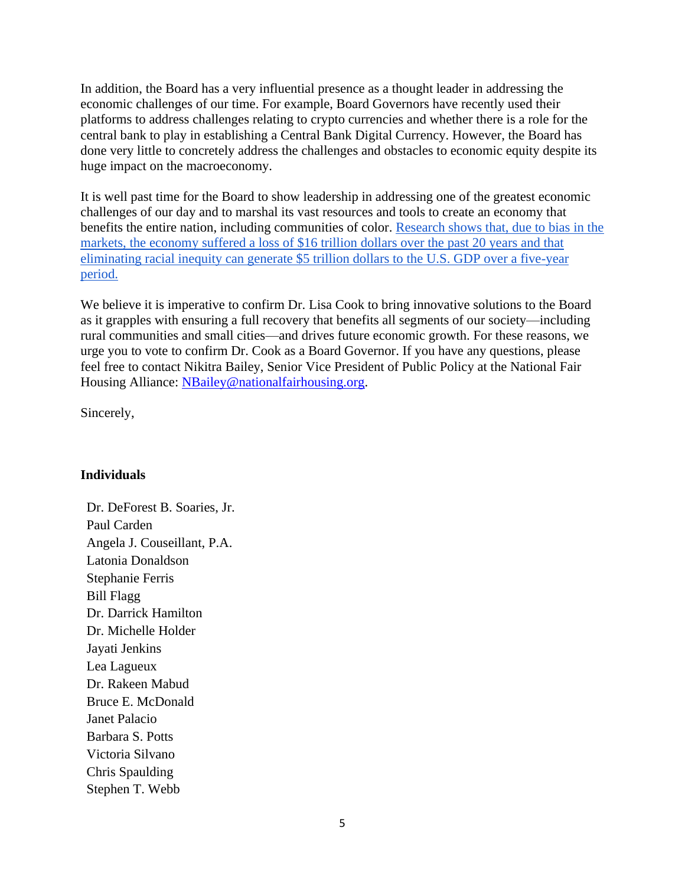In addition, the Board has a very influential presence as a thought leader in addressing the economic challenges of our time. For example, Board Governors have recently used their platforms to address challenges relating to crypto currencies and whether there is a role for the central bank to play in establishing a Central Bank Digital Currency. However, the Board has done very little to concretely address the challenges and obstacles to economic equity despite its huge impact on the macroeconomy.

It is well past time for the Board to show leadership in addressing one of the greatest economic challenges of our day and to marshal its vast resources and tools to create an economy that benefits the entire nation, including communities of color. [Research shows that, due to bias in the](https://ir.citi.com/NvIUklHPilz14Hwd3oxqZBLMn1_XPqo5FrxsZD0x6hhil84ZxaxEuJUWmak51UHvYk75VKeHCMI%3D)  [markets, the economy suffered a loss of \\$16 trillion dollars over the past 20 years and that](https://ir.citi.com/NvIUklHPilz14Hwd3oxqZBLMn1_XPqo5FrxsZD0x6hhil84ZxaxEuJUWmak51UHvYk75VKeHCMI%3D)  [eliminating racial inequity can generate \\$5 trillion dollars to the U.S. GDP over a five-year](https://ir.citi.com/NvIUklHPilz14Hwd3oxqZBLMn1_XPqo5FrxsZD0x6hhil84ZxaxEuJUWmak51UHvYk75VKeHCMI%3D)  [period.](https://ir.citi.com/NvIUklHPilz14Hwd3oxqZBLMn1_XPqo5FrxsZD0x6hhil84ZxaxEuJUWmak51UHvYk75VKeHCMI%3D)

We believe it is imperative to confirm Dr. Lisa Cook to bring innovative solutions to the Board as it grapples with ensuring a full recovery that benefits all segments of our society—including rural communities and small cities—and drives future economic growth. For these reasons, we urge you to vote to confirm Dr. Cook as a Board Governor. If you have any questions, please feel free to contact Nikitra Bailey, Senior Vice President of Public Policy at the National Fair Housing Alliance: [NBailey@nationalfairhousing.org.](mailto:Nbailey@nationalfairhousing.org)

Sincerely,

### **Individuals**

Dr. DeForest B. Soaries, Jr. Paul Carden Angela J. Couseillant, P.A. Latonia Donaldson Stephanie Ferris Bill Flagg Dr. Darrick Hamilton Dr. Michelle Holder Jayati Jenkins Lea Lagueux Dr. Rakeen Mabud Bruce E. McDonald Janet Palacio Barbara S. Potts Victoria Silvano Chris Spaulding Stephen T. Webb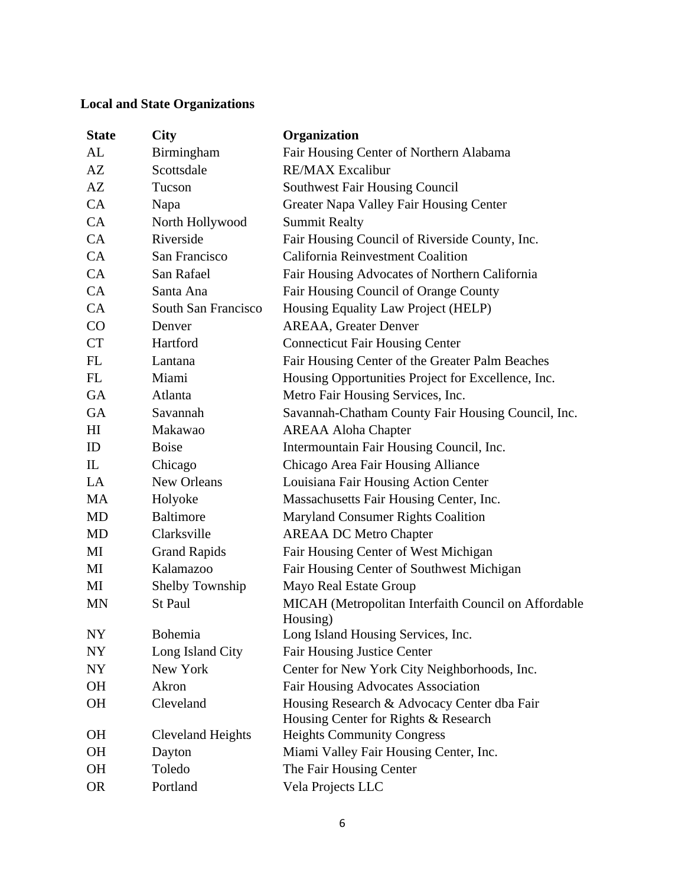### **Local and State Organizations**

| <b>State</b>   | <b>City</b>         | Organization                                         |
|----------------|---------------------|------------------------------------------------------|
| AL             | Birmingham          | Fair Housing Center of Northern Alabama              |
| AZ             | Scottsdale          | <b>RE/MAX Excalibur</b>                              |
| AZ             | Tucson              | <b>Southwest Fair Housing Council</b>                |
| CA             | Napa                | Greater Napa Valley Fair Housing Center              |
| CA             | North Hollywood     | <b>Summit Realty</b>                                 |
| CA             | Riverside           | Fair Housing Council of Riverside County, Inc.       |
| CA             | San Francisco       | California Reinvestment Coalition                    |
| CA             | San Rafael          | Fair Housing Advocates of Northern California        |
| CA             | Santa Ana           | Fair Housing Council of Orange County                |
| CA             | South San Francisco | Housing Equality Law Project (HELP)                  |
| CO             | Denver              | <b>AREAA, Greater Denver</b>                         |
| <b>CT</b>      | Hartford            | <b>Connecticut Fair Housing Center</b>               |
| FL             | Lantana             | Fair Housing Center of the Greater Palm Beaches      |
| FL             | Miami               | Housing Opportunities Project for Excellence, Inc.   |
| GA             | Atlanta             | Metro Fair Housing Services, Inc.                    |
| GA             | Savannah            | Savannah-Chatham County Fair Housing Council, Inc.   |
| H <sub>I</sub> | Makawao             | <b>AREAA Aloha Chapter</b>                           |
| ID             | <b>Boise</b>        | Intermountain Fair Housing Council, Inc.             |
| $\mathbb{L}$   | Chicago             | Chicago Area Fair Housing Alliance                   |
| LA             | New Orleans         | Louisiana Fair Housing Action Center                 |
| <b>MA</b>      | Holyoke             | Massachusetts Fair Housing Center, Inc.              |
| MD             | <b>Baltimore</b>    | Maryland Consumer Rights Coalition                   |
| <b>MD</b>      | Clarksville         | <b>AREAA DC Metro Chapter</b>                        |
| MI             | <b>Grand Rapids</b> | Fair Housing Center of West Michigan                 |
| MI             | Kalamazoo           | Fair Housing Center of Southwest Michigan            |
| MI             | Shelby Township     | Mayo Real Estate Group                               |
| <b>MN</b>      | St Paul             | MICAH (Metropolitan Interfaith Council on Affordable |
|                |                     | Housing)                                             |
| <b>NY</b>      | Bohemia             | Long Island Housing Services, Inc.                   |
| <b>NY</b>      | Long Island City    | <b>Fair Housing Justice Center</b>                   |
| NY             | New York            | Center for New York City Neighborhoods, Inc.         |
| <b>OH</b>      | Akron               | <b>Fair Housing Advocates Association</b>            |
| <b>OH</b>      | Cleveland           | Housing Research & Advocacy Center dba Fair          |
|                |                     | Housing Center for Rights & Research                 |
| OН             | Cleveland Heights   | <b>Heights Community Congress</b>                    |
| <b>OH</b>      | Dayton              | Miami Valley Fair Housing Center, Inc.               |
| <b>OH</b>      | Toledo              | The Fair Housing Center                              |
| <b>OR</b>      | Portland            | Vela Projects LLC                                    |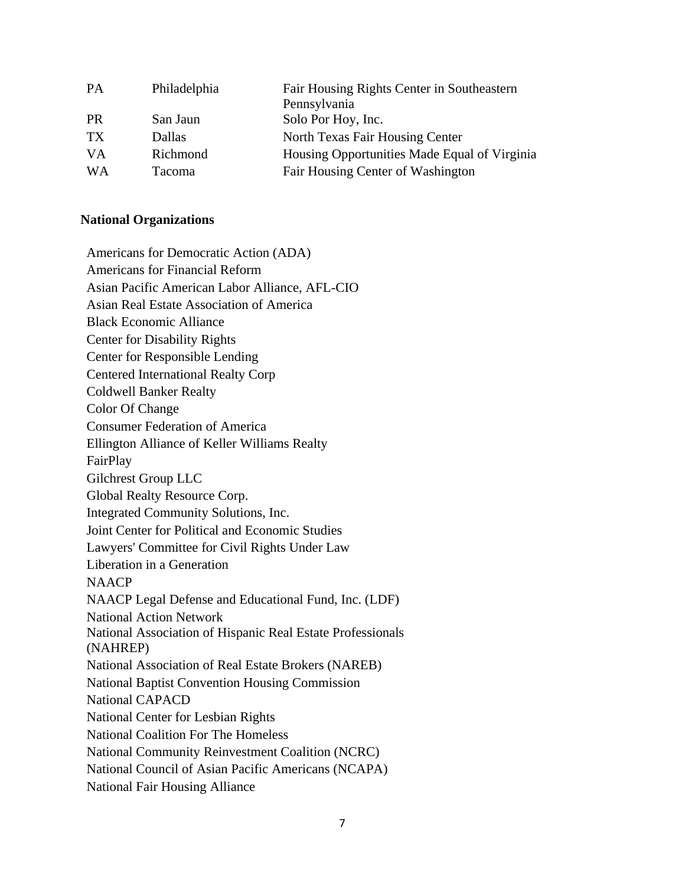| <b>PA</b> | Philadelphia | Fair Housing Rights Center in Southeastern   |
|-----------|--------------|----------------------------------------------|
|           |              | Pennsylvania                                 |
| <b>PR</b> | San Jaun     | Solo Por Hoy, Inc.                           |
| TX        | Dallas       | North Texas Fair Housing Center              |
| VA        | Richmond     | Housing Opportunities Made Equal of Virginia |
| WA        | Tacoma       | Fair Housing Center of Washington            |

# **National Organizations**

| Americans for Democratic Action (ADA)                      |
|------------------------------------------------------------|
| <b>Americans for Financial Reform</b>                      |
| Asian Pacific American Labor Alliance, AFL-CIO             |
| Asian Real Estate Association of America                   |
| <b>Black Economic Alliance</b>                             |
| <b>Center for Disability Rights</b>                        |
| Center for Responsible Lending                             |
| <b>Centered International Realty Corp</b>                  |
| <b>Coldwell Banker Realty</b>                              |
| Color Of Change                                            |
| <b>Consumer Federation of America</b>                      |
| Ellington Alliance of Keller Williams Realty               |
| FairPlay                                                   |
| Gilchrest Group LLC                                        |
| Global Realty Resource Corp.                               |
| Integrated Community Solutions, Inc.                       |
| Joint Center for Political and Economic Studies            |
| Lawyers' Committee for Civil Rights Under Law              |
| Liberation in a Generation                                 |
| <b>NAACP</b>                                               |
| NAACP Legal Defense and Educational Fund, Inc. (LDF)       |
| <b>National Action Network</b>                             |
| National Association of Hispanic Real Estate Professionals |
| (NAHREP)                                                   |
| National Association of Real Estate Brokers (NAREB)        |
| <b>National Baptist Convention Housing Commission</b>      |
| <b>National CAPACD</b>                                     |
| National Center for Lesbian Rights                         |
| <b>National Coalition For The Homeless</b>                 |
| National Community Reinvestment Coalition (NCRC)           |
| National Council of Asian Pacific Americans (NCAPA)        |
| <b>National Fair Housing Alliance</b>                      |